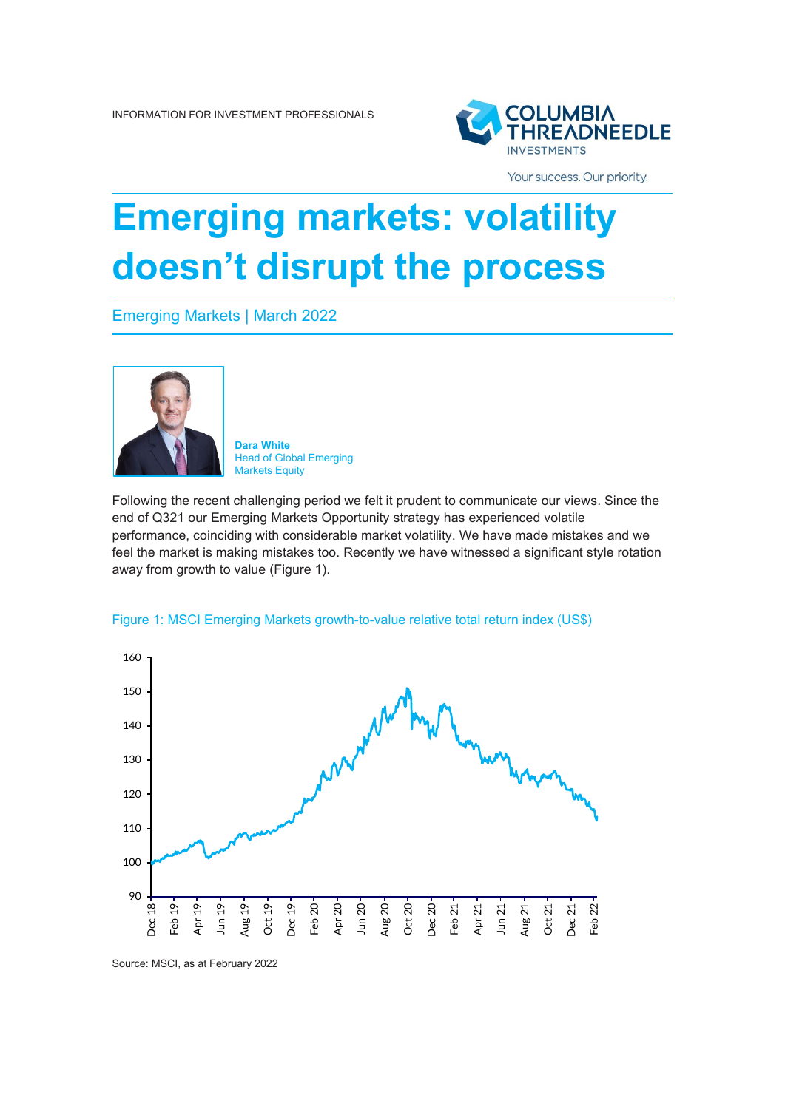

Your success. Our priority.

## **Emerging markets: volatility doesn't disrupt the process**

Emerging Markets | March 2022



**Dara White** Head of Global Emerging Markets Equity

Following the recent challenging period we felt it prudent to communicate our views. Since the end of Q321 our Emerging Markets Opportunity strategy has experienced volatile performance, coinciding with considerable market volatility. We have made mistakes and we feel the market is making mistakes too. Recently we have witnessed a significant style rotation away from growth to value (Figure 1).



Figure 1: MSCI Emerging Markets growth-to-value relative total return index (US\$)

Source: MSCI, as at February 2022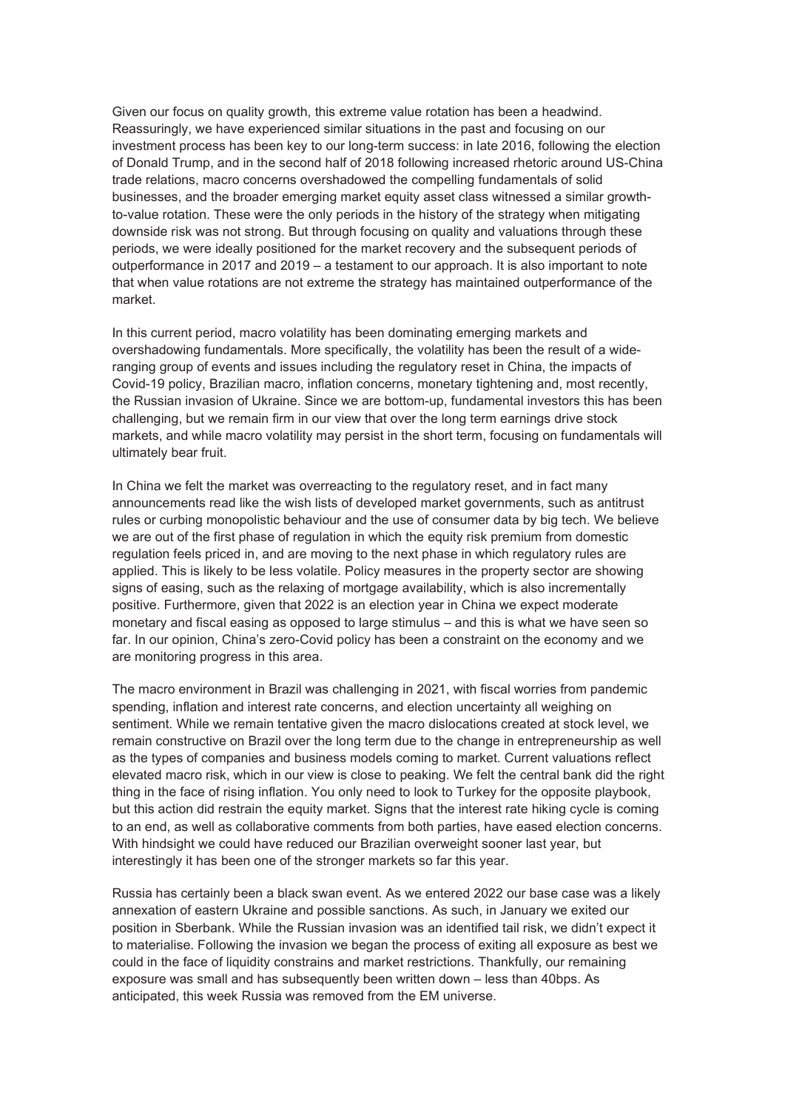Given our focus on quality growth, this extreme value rotation has been a headwind. Reassuringly, we have experienced similar situations in the past and focusing on our investment process has been key to our long-term success: in late 2016, following the election of Donald Trump, and in the second half of 2018 following increased rhetoric around US-China trade relations, macro concerns overshadowed the compelling fundamentals of solid businesses, and the broader emerging market equity asset class witnessed a similar growthto-value rotation. These were the only periods in the history of the strategy when mitigating downside risk was not strong. But through focusing on quality and valuations through these periods, we were ideally positioned for the market recovery and the subsequent periods of outperformance in 2017 and 2019 – a testament to our approach. It is also important to note that when value rotations are not extreme the strategy has maintained outperformance of the market.

In this current period, macro volatility has been dominating emerging markets and overshadowing fundamentals. More specifically, the volatility has been the result of a wideranging group of events and issues including the regulatory reset in China, the impacts of Covid-19 policy, Brazilian macro, inflation concerns, monetary tightening and, most recently, the Russian invasion of Ukraine. Since we are bottom-up, fundamental investors this has been challenging, but we remain firm in our view that over the long term earnings drive stock markets, and while macro volatility may persist in the short term, focusing on fundamentals will ultimately bear fruit.

In China we felt the market was overreacting to the regulatory reset, and in fact many announcements read like the wish lists of developed market governments, such as antitrust rules or curbing monopolistic behaviour and the use of consumer data by big tech. We believe we are out of the first phase of regulation in which the equity risk premium from domestic regulation feels priced in, and are moving to the next phase in which regulatory rules are applied. This is likely to be less volatile. Policy measures in the property sector are showing signs of easing, such as the relaxing of mortgage availability, which is also incrementally positive. Furthermore, given that 2022 is an election year in China we expect moderate monetary and fiscal easing as opposed to large stimulus – and this is what we have seen so far. In our opinion, China's zero-Covid policy has been a constraint on the economy and we are monitoring progress in this area.

The macro environment in Brazil was challenging in 2021, with fiscal worries from pandemic spending, inflation and interest rate concerns, and election uncertainty all weighing on sentiment. While we remain tentative given the macro dislocations created at stock level, we remain constructive on Brazil over the long term due to the change in entrepreneurship as well as the types of companies and business models coming to market. Current valuations reflect elevated macro risk, which in our view is close to peaking. We felt the central bank did the right thing in the face of rising inflation. You only need to look to Turkey for the opposite playbook, but this action did restrain the equity market. Signs that the interest rate hiking cycle is coming to an end, as well as collaborative comments from both parties, have eased election concerns. With hindsight we could have reduced our Brazilian overweight sooner last year, but interestingly it has been one of the stronger markets so far this year.

Russia has certainly been a black swan event. As we entered 2022 our base case was a likely annexation of eastern Ukraine and possible sanctions. As such, in January we exited our position in Sberbank. While the Russian invasion was an identified tail risk, we didn't expect it to materialise. Following the invasion we began the process of exiting all exposure as best we could in the face of liquidity constrains and market restrictions. Thankfully, our remaining exposure was small and has subsequently been written down – less than 40bps. As anticipated, this week Russia was removed from the EM universe.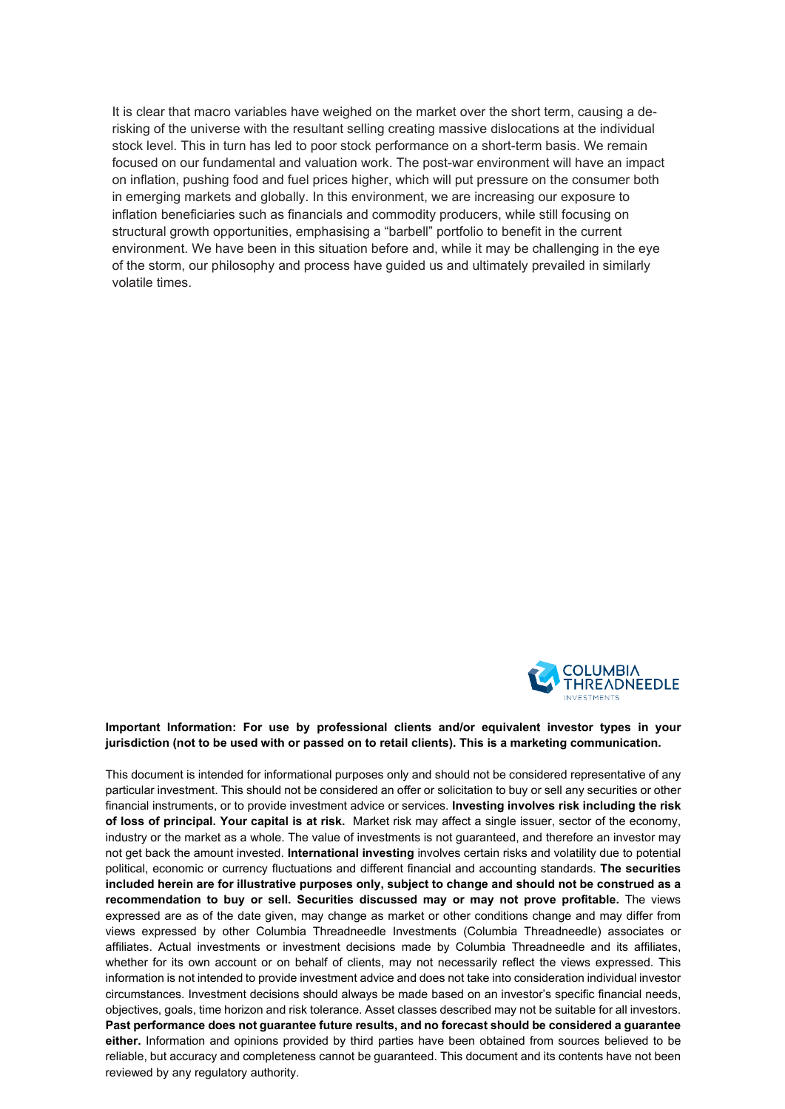It is clear that macro variables have weighed on the market over the short term, causing a derisking of the universe with the resultant selling creating massive dislocations at the individual stock level. This in turn has led to poor stock performance on a short-term basis. We remain focused on our fundamental and valuation work. The post-war environment will have an impact on inflation, pushing food and fuel prices higher, which will put pressure on the consumer both in emerging markets and globally. In this environment, we are increasing our exposure to inflation beneficiaries such as financials and commodity producers, while still focusing on structural growth opportunities, emphasising a "barbell" portfolio to benefit in the current environment. We have been in this situation before and, while it may be challenging in the eye of the storm, our philosophy and process have guided us and ultimately prevailed in similarly volatile times.



## **Important Information: For use by professional clients and/or equivalent investor types in your jurisdiction (not to be used with or passed on to retail clients). This is a marketing communication.**

This document is intended for informational purposes only and should not be considered representative of any particular investment. This should not be considered an offer or solicitation to buy or sell any securities or other financial instruments, or to provide investment advice or services. **Investing involves risk including the risk of loss of principal. Your capital is at risk.** Market risk may affect a single issuer, sector of the economy, industry or the market as a whole. The value of investments is not guaranteed, and therefore an investor may not get back the amount invested. **International investing** involves certain risks and volatility due to potential political, economic or currency fluctuations and different financial and accounting standards. **The securities included herein are for illustrative purposes only, subject to change and should not be construed as a recommendation to buy or sell. Securities discussed may or may not prove profitable.** The views expressed are as of the date given, may change as market or other conditions change and may differ from views expressed by other Columbia Threadneedle Investments (Columbia Threadneedle) associates or affiliates. Actual investments or investment decisions made by Columbia Threadneedle and its affiliates, whether for its own account or on behalf of clients, may not necessarily reflect the views expressed. This information is not intended to provide investment advice and does not take into consideration individual investor circumstances. Investment decisions should always be made based on an investor's specific financial needs, objectives, goals, time horizon and risk tolerance. Asset classes described may not be suitable for all investors. **Past performance does not guarantee future results, and no forecast should be considered a guarantee either.** Information and opinions provided by third parties have been obtained from sources believed to be reliable, but accuracy and completeness cannot be guaranteed. This document and its contents have not been reviewed by any regulatory authority.